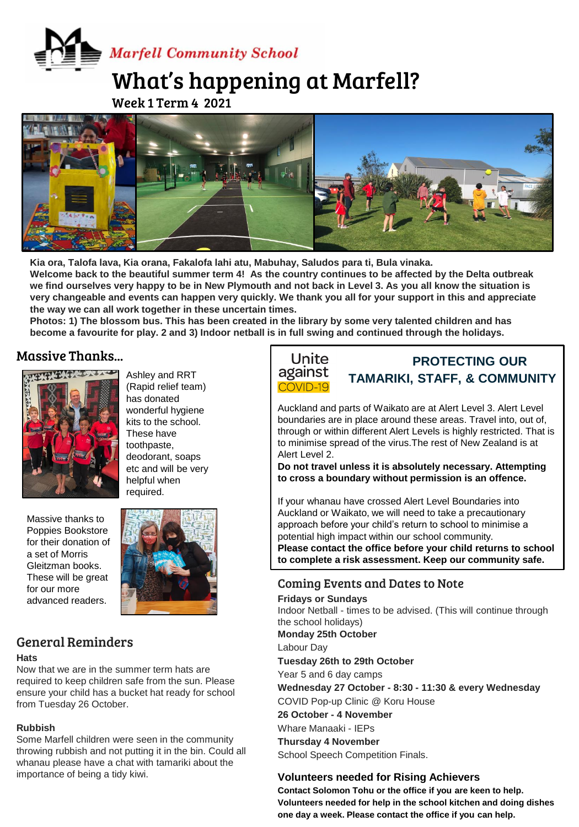**Marfell Community School** 

# What's happening at Marfell?

Week 1 Term 4 2021



Kia ora, Talofa lava, Kia orana, Fakalofa lahi atu, Mabuhay, Saludos para ti, Bula vinaka. **Welcome back to the beautiful summer term 4! As the country continues to be affected by the Delta outbreak we find ourselves very happy to be in New Plymouth and not back in Level 3. As you all know the situation is very changeable and events can happen very quickly. We thank you all for your support in this and appreciate the way we can all work together in these uncertain times.** 

**Photos: 1) The blossom bus. This has been created in the library by some very talented children and has become a favourite for play. 2 and 3) Indoor netball is in full swing and continued through the holidays.** 

#### Massive Thanks...



Massive thanks to Poppies Bookstore for their donation of a set of Morris Gleitzman books. These will be great for our more advanced readers.



Ashley and RRT (Rapid relief team) has donated wonderful hygiene kits to the school. These have toothpaste, deodorant, soaps etc and will be very helpful when

## General Reminders

#### **Hats**

Now that we are in the summer term hats are required to keep children safe from the sun. Please ensure your child has a bucket hat ready for school from Tuesday 26 October.

#### **Rubbish**

Some Marfell children were seen in the community throwing rubbish and not putting it in the bin. Could all whanau please have a chat with tamariki about the importance of being a tidy kiwi.



# **PROTECTING OUR TAMARIKI, STAFF, & COMMUNITY**

Auckland and parts of Waikato are at Alert Level 3. Alert Level boundaries are in place around these areas. Travel into, out of, through or within different Alert Levels is highly restricted. That is to minimise spread of the virus.The rest of New Zealand is at Alert Level 2.

**Do not travel unless it is absolutely necessary. Attempting to cross a boundary without permission is an offence.**

If your whanau have crossed Alert Level Boundaries into Auckland or Waikato, we will need to take a precautionary approach before your child's return to school to minimise a potential high impact within our school community.

**Please contact the office before your child returns to school to complete a risk assessment. Keep our community safe.**

### Coming Events and Dates to Note

**Fridays or Sundays** Indoor Netball - times to be advised. (This will continue through the school holidays) **Monday 25th October** Labour Day **Tuesday 26th to 29th October**  Year 5 and 6 day camps **Wednesday 27 October - 8:30 - 11:30 & every Wednesday** COVID Pop-up Clinic @ Koru House **26 October - 4 November** Whare Manaaki - IEPs **Thursday 4 November**

School Speech Competition Finals.

#### **Volunteers needed for Rising Achievers**

**Contact Solomon Tohu or the office if you are keen to help. Volunteers needed for help in the school kitchen and doing dishes one day a week. Please contact the office if you can help.**